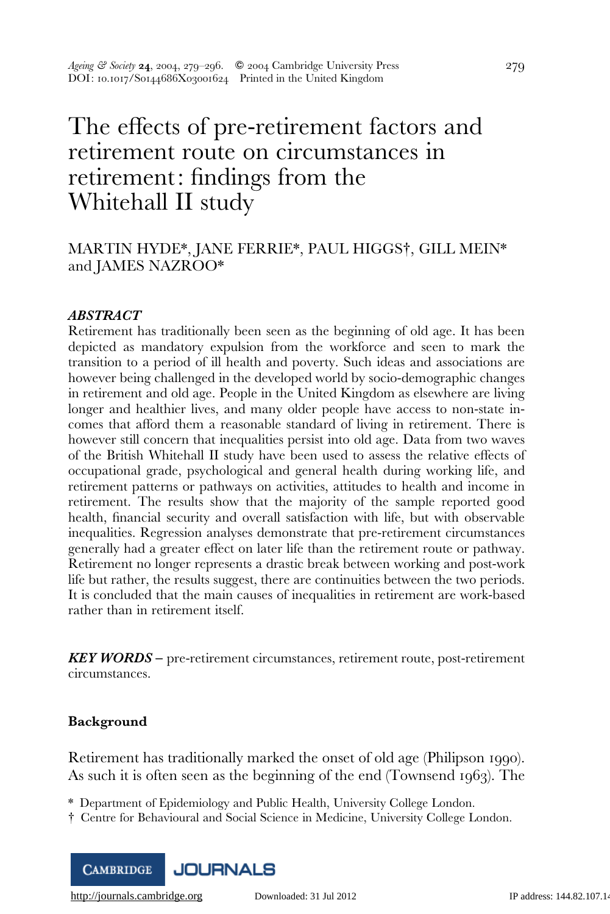#### Ageing & Society **24**, 2004, 279–296. © 2004 Cambridge University Press 279 DOI: 10.1017/S0144686X03001624 Printed in the United Kingdom

# The effects of pre-retirement factors and retirement route on circumstances in retirement: findings from the Whitehall II study

# MARTIN HYDE\*, JANE FERRIE\*, PAUL HIGGS†, GILL MEIN\* and JAMES NAZROO\*

# ABSTRACT

Retirement has traditionally been seen as the beginning of old age. It has been depicted as mandatory expulsion from the workforce and seen to mark the transition to a period of ill health and poverty. Such ideas and associations are however being challenged in the developed world by socio-demographic changes in retirement and old age. People in the United Kingdom as elsewhere are living longer and healthier lives, and many older people have access to non-state incomes that afford them a reasonable standard of living in retirement. There is however still concern that inequalities persist into old age. Data from two waves of the British Whitehall II study have been used to assess the relative effects of occupational grade, psychological and general health during working life, and retirement patterns or pathways on activities, attitudes to health and income in retirement. The results show that the majority of the sample reported good health, financial security and overall satisfaction with life, but with observable inequalities. Regression analyses demonstrate that pre-retirement circumstances generally had a greater effect on later life than the retirement route or pathway. Retirement no longer represents a drastic break between working and post-work life but rather, the results suggest, there are continuities between the two periods. It is concluded that the main causes of inequalities in retirement are work-based rather than in retirement itself.

KEY WORDS – pre-retirement circumstances, retirement route, post-retirement circumstances.

### Background

Retirement has traditionally marked the onset of old age (Philipson 1990). As such it is often seen as the beginning of the end (Townsend 1963). The

- \* Department of Epidemiology and Public Health, University College London.
- # Centre for Behavioural and Social Science in Medicine, University College London.

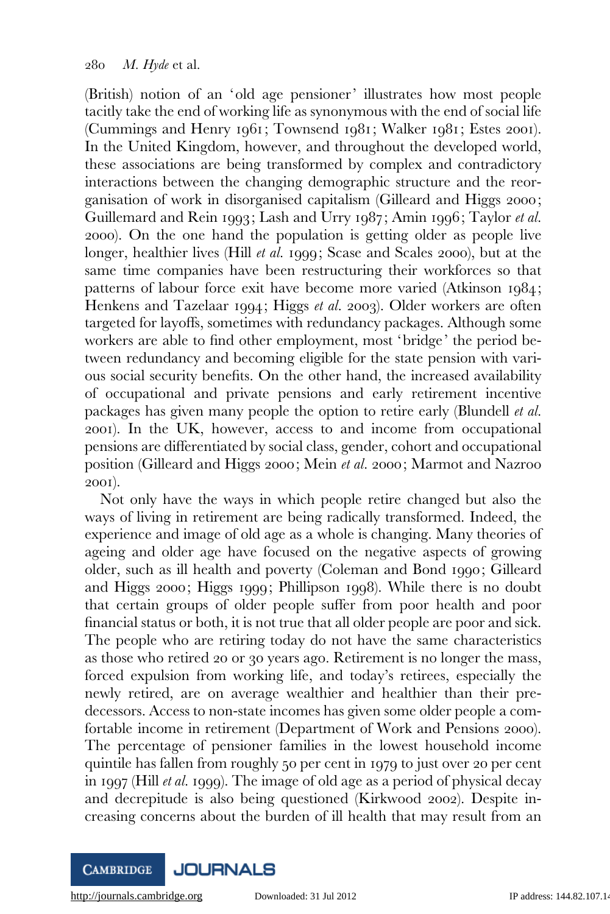(British) notion of an 'old age pensioner' illustrates how most people tacitly take the end of working life as synonymous with the end of social life (Cummings and Henry 1961; Townsend 1981; Walker 1981; Estes 2001). In the United Kingdom, however, and throughout the developed world, these associations are being transformed by complex and contradictory interactions between the changing demographic structure and the reorganisation of work in disorganised capitalism (Gilleard and Higgs 2000; Guillemard and Rein 1993; Lash and Urry 1987; Amin 1996; Taylor et al. 2000). On the one hand the population is getting older as people live longer, healthier lives (Hill *et al.* 1999; Scase and Scales 2000), but at the same time companies have been restructuring their workforces so that patterns of labour force exit have become more varied (Atkinson 1984; Henkens and Tazelaar 1994; Higgs et al. 2003). Older workers are often targeted for layoffs, sometimes with redundancy packages. Although some workers are able to find other employment, most 'bridge' the period between redundancy and becoming eligible for the state pension with various social security benefits. On the other hand, the increased availability of occupational and private pensions and early retirement incentive packages has given many people the option to retire early (Blundell et al. 2001). In the UK, however, access to and income from occupational pensions are differentiated by social class, gender, cohort and occupational position (Gilleard and Higgs 2000; Mein et al. 2000; Marmot and Nazroo 2001).

Not only have the ways in which people retire changed but also the ways of living in retirement are being radically transformed. Indeed, the experience and image of old age as a whole is changing. Many theories of ageing and older age have focused on the negative aspects of growing older, such as ill health and poverty (Coleman and Bond 1990; Gilleard and Higgs 2000; Higgs 1999; Phillipson 1998). While there is no doubt that certain groups of older people suffer from poor health and poor financial status or both, it is not true that all older people are poor and sick. The people who are retiring today do not have the same characteristics as those who retired 20 or 30 years ago. Retirement is no longer the mass, forced expulsion from working life, and today's retirees, especially the newly retired, are on average wealthier and healthier than their predecessors. Access to non-state incomes has given some older people a comfortable income in retirement (Department of Work and Pensions 2000). The percentage of pensioner families in the lowest household income quintile has fallen from roughly 50 per cent in 1979 to just over 20 per cent in 1997 (Hill et al. 1999). The image of old age as a period of physical decay and decrepitude is also being questioned (Kirkwood 2002). Despite increasing concerns about the burden of ill health that may result from an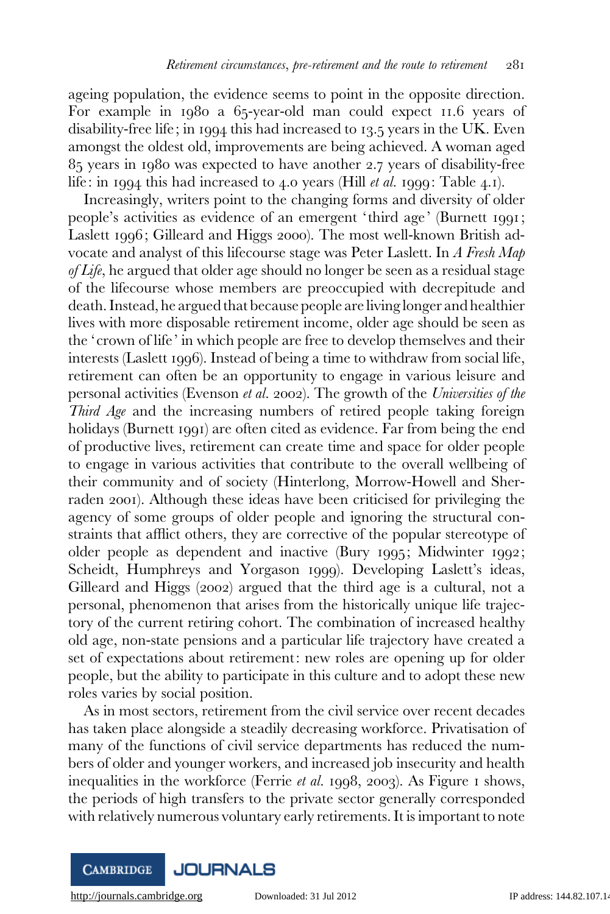ageing population, the evidence seems to point in the opposite direction. For example in 1980 a 65-year-old man could expect 11.6 years of disability-free life; in 1994 this had increased to 13.5 years in the UK. Even amongst the oldest old, improvements are being achieved. A woman aged 85 years in 1980 was expected to have another 2.7 years of disability-free life: in 1994 this had increased to 4.0 years (Hill et al. 1999: Table 4.1).

Increasingly, writers point to the changing forms and diversity of older people's activities as evidence of an emergent 'third age' (Burnett 1991; Laslett 1996; Gilleard and Higgs 2000). The most well-known British advocate and analyst of this lifecourse stage was Peter Laslett. In A Fresh Map  $of Life$ , he argued that older age should no longer be seen as a residual stage of the lifecourse whose members are preoccupied with decrepitude and death. Instead, he argued that because people are living longer and healthier lives with more disposable retirement income, older age should be seen as the 'crown of life' in which people are free to develop themselves and their interests (Laslett 1996). Instead of being a time to withdraw from social life, retirement can often be an opportunity to engage in various leisure and personal activities (Evenson et al. 2002). The growth of the Universities of the Third Age and the increasing numbers of retired people taking foreign holidays (Burnett 1991) are often cited as evidence. Far from being the end of productive lives, retirement can create time and space for older people to engage in various activities that contribute to the overall wellbeing of their community and of society (Hinterlong, Morrow-Howell and Sherraden 2001). Although these ideas have been criticised for privileging the agency of some groups of older people and ignoring the structural constraints that afflict others, they are corrective of the popular stereotype of older people as dependent and inactive (Bury 1995; Midwinter 1992; Scheidt, Humphreys and Yorgason 1999). Developing Laslett's ideas, Gilleard and Higgs (2002) argued that the third age is a cultural, not a personal, phenomenon that arises from the historically unique life trajectory of the current retiring cohort. The combination of increased healthy old age, non-state pensions and a particular life trajectory have created a set of expectations about retirement: new roles are opening up for older people, but the ability to participate in this culture and to adopt these new roles varies by social position.

As in most sectors, retirement from the civil service over recent decades has taken place alongside a steadily decreasing workforce. Privatisation of many of the functions of civil service departments has reduced the numbers of older and younger workers, and increased job insecurity and health inequalities in the workforce (Ferrie et al. 1998, 2003). As Figure 1 shows, the periods of high transfers to the private sector generally corresponded with relatively numerous voluntary early retirements. It is important to note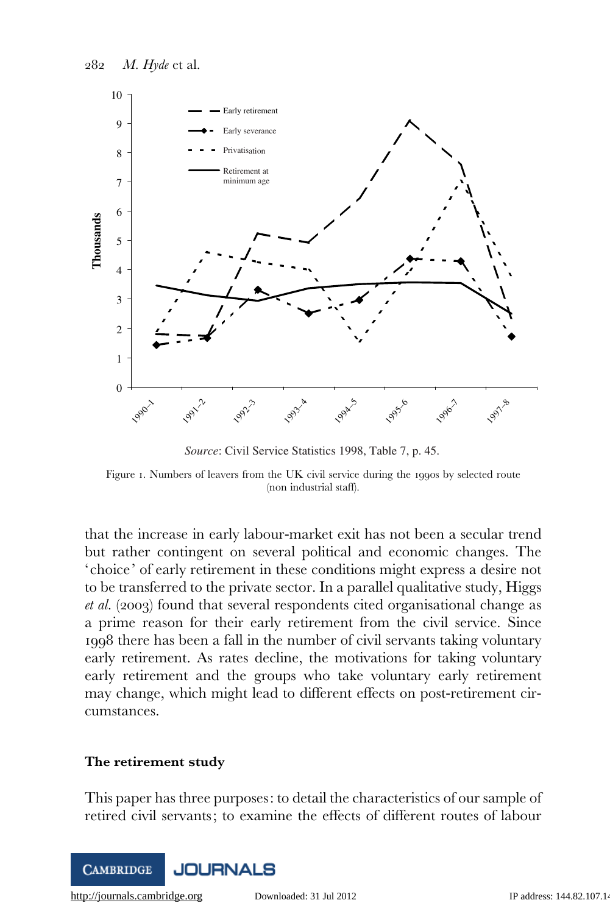

*Source*: Civil Service Statistics 1998, Table 7, p. 45.

Figure 1. Numbers of leavers from the UK civil service during the 1990s by selected route (non industrial staff).

that the increase in early labour-market exit has not been a secular trend but rather contingent on several political and economic changes. The 'choice' of early retirement in these conditions might express a desire not to be transferred to the private sector. In a parallel qualitative study, Higgs et al. (2003) found that several respondents cited organisational change as a prime reason for their early retirement from the civil service. Since 1998 there has been a fall in the number of civil servants taking voluntary early retirement. As rates decline, the motivations for taking voluntary early retirement and the groups who take voluntary early retirement may change, which might lead to different effects on post-retirement circumstances.

### The retirement study

This paper has three purposes: to detail the characteristics of our sample of retired civil servants; to examine the effects of different routes of labour

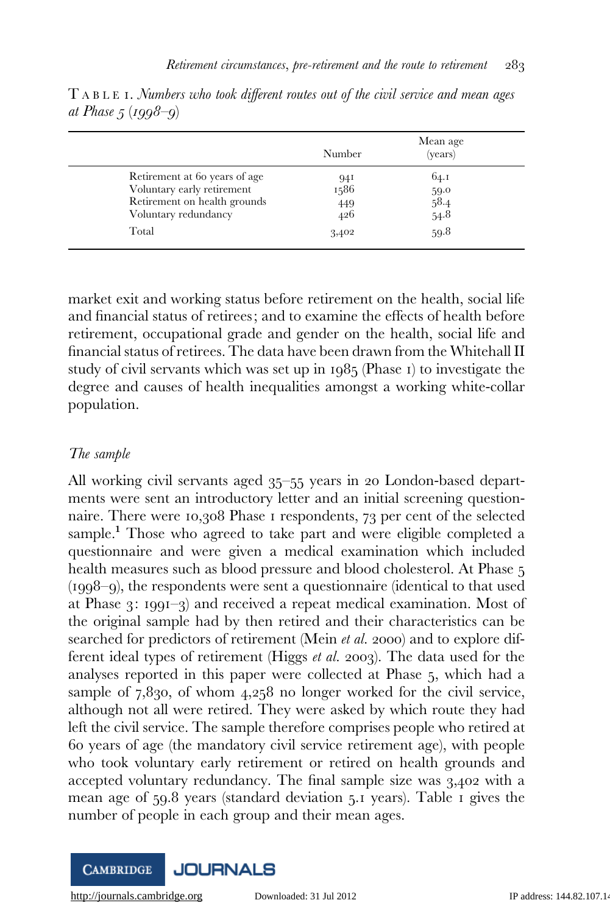|                               | Number | Mean age<br>(years) |  |
|-------------------------------|--------|---------------------|--|
| Retirement at 60 years of age | 941    | 64.1                |  |
| Voluntary early retirement    | 1586   | 59.0                |  |
| Retirement on health grounds  | 449    | 58.4                |  |
| Voluntary redundancy          | 426    | 54.8                |  |
| Total                         | 3,402  | 59.8                |  |

T ABLE 1. Numbers who took different routes out of the civil service and mean ages at Phase  $5 (1998-9)$ 

market exit and working status before retirement on the health, social life and financial status of retirees; and to examine the effects of health before retirement, occupational grade and gender on the health, social life and financial status of retirees. The data have been drawn from the Whitehall II study of civil servants which was set up in 1985 (Phase 1) to investigate the degree and causes of health inequalities amongst a working white-collar population.

# The sample

All working civil servants aged 35–55 years in 20 London-based departments were sent an introductory letter and an initial screening questionnaire. There were 10,308 Phase 1 respondents, 73 per cent of the selected sample.<sup>1</sup> Those who agreed to take part and were eligible completed a questionnaire and were given a medical examination which included health measures such as blood pressure and blood cholesterol. At Phase 5 (1998–9), the respondents were sent a questionnaire (identical to that used at Phase 3: 1991–3) and received a repeat medical examination. Most of the original sample had by then retired and their characteristics can be searched for predictors of retirement (Mein *et al.* 2000) and to explore different ideal types of retirement (Higgs et al. 2003). The data used for the analyses reported in this paper were collected at Phase 5, which had a sample of 7,830, of whom 4,258 no longer worked for the civil service, although not all were retired. They were asked by which route they had left the civil service. The sample therefore comprises people who retired at 60 years of age (the mandatory civil service retirement age), with people who took voluntary early retirement or retired on health grounds and accepted voluntary redundancy. The final sample size was 3,402 with a mean age of 59.8 years (standard deviation 5.1 years). Table 1 gives the number of people in each group and their mean ages.

#### **CAMBRIDGE JOURNALS**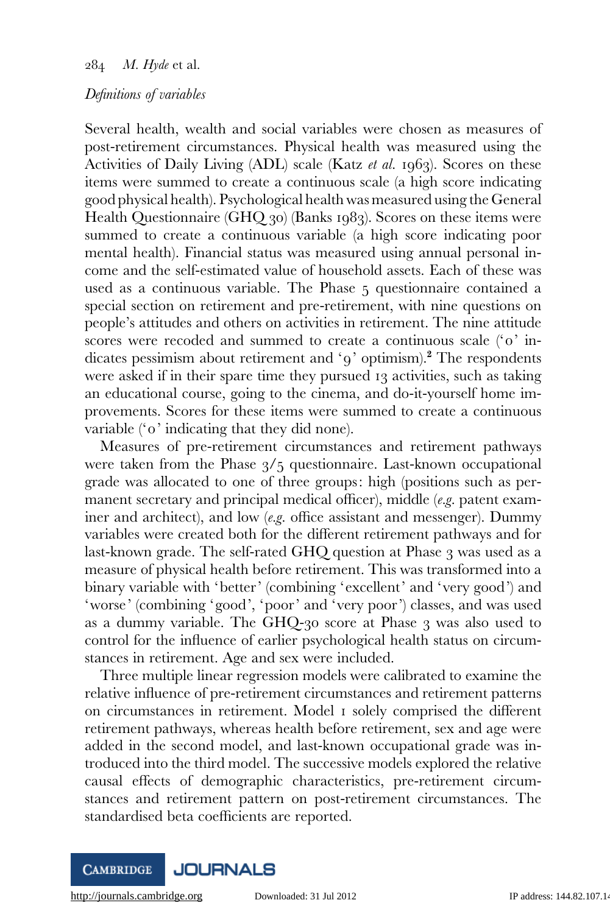# Definitions of variables

Several health, wealth and social variables were chosen as measures of post-retirement circumstances. Physical health was measured using the Activities of Daily Living (ADL) scale (Katz et al. 1963). Scores on these items were summed to create a continuous scale (a high score indicating good physical health). Psychological health was measured using the General Health Questionnaire (GHQ 30) (Banks 1983). Scores on these items were summed to create a continuous variable (a high score indicating poor mental health). Financial status was measured using annual personal income and the self-estimated value of household assets. Each of these was used as a continuous variable. The Phase 5 questionnaire contained a special section on retirement and pre-retirement, with nine questions on people's attitudes and others on activities in retirement. The nine attitude scores were recoded and summed to create a continuous scale ('o' indicates pessimism about retirement and  $q$  optimism).<sup>2</sup> The respondents were asked if in their spare time they pursued 13 activities, such as taking an educational course, going to the cinema, and do-it-yourself home improvements. Scores for these items were summed to create a continuous variable ('0' indicating that they did none).

Measures of pre-retirement circumstances and retirement pathways were taken from the Phase 3/5 questionnaire. Last-known occupational grade was allocated to one of three groups: high (positions such as permanent secretary and principal medical officer), middle  $(e.g.,$  patent examiner and architect), and low (e.g. office assistant and messenger). Dummy variables were created both for the different retirement pathways and for last-known grade. The self-rated GHQ question at Phase 3 was used as a measure of physical health before retirement. This was transformed into a binary variable with 'better' (combining 'excellent' and 'very good') and 'worse' (combining 'good', 'poor' and 'very poor') classes, and was used as a dummy variable. The GHQ-30 score at Phase 3 was also used to control for the influence of earlier psychological health status on circumstances in retirement. Age and sex were included.

Three multiple linear regression models were calibrated to examine the relative influence of pre-retirement circumstances and retirement patterns on circumstances in retirement. Model 1 solely comprised the different retirement pathways, whereas health before retirement, sex and age were added in the second model, and last-known occupational grade was introduced into the third model. The successive models explored the relative causal effects of demographic characteristics, pre-retirement circumstances and retirement pattern on post-retirement circumstances. The standardised beta coefficients are reported.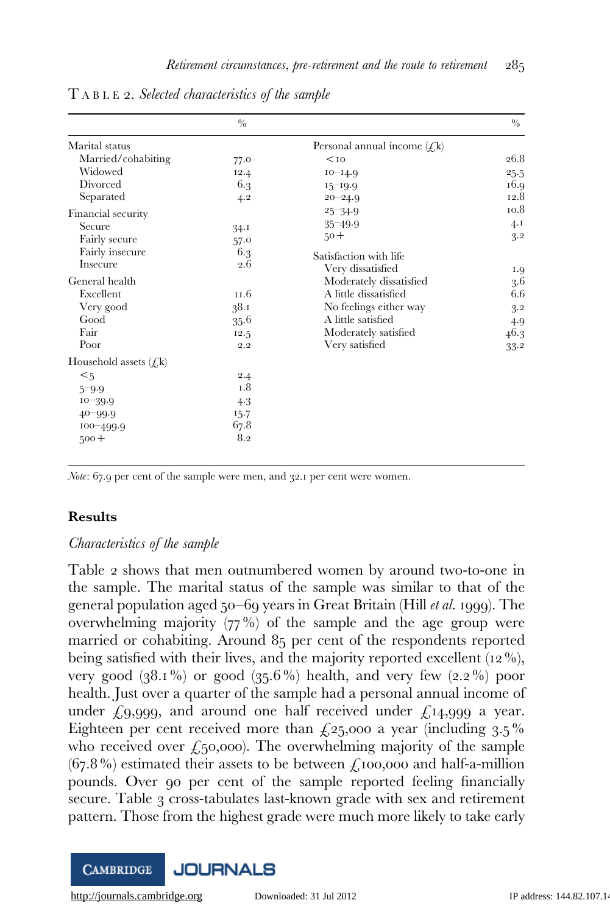| Personal annual income $(f_k)$<br>26.8 |
|----------------------------------------|
|                                        |
| 25.5                                   |
| 16.9                                   |
|                                        |
| 12.8                                   |
| 10.8                                   |
| 4.I                                    |
| 3.2                                    |
|                                        |
| 1.9                                    |
| Moderately dissatisfied<br>$3.6\,$     |
| 6.6                                    |
| No feelings either way<br>3.2          |
| 4.9                                    |
| 46.3                                   |
| 33.2                                   |
|                                        |
|                                        |
|                                        |
|                                        |
|                                        |
|                                        |
|                                        |
|                                        |

T ABLE 2. Selected characteristics of the sample

Note: 67.9 per cent of the sample were men, and 32.1 per cent were women.

### Results

#### Characteristics of the sample

Table 2 shows that men outnumbered women by around two-to-one in the sample. The marital status of the sample was similar to that of the general population aged  $50-69$  years in Great Britain (Hill *et al.* 1999). The overwhelming majority (77%) of the sample and the age group were married or cohabiting. Around 85 per cent of the respondents reported being satisfied with their lives, and the majority reported excellent (12%), very good  $(38.1\%)$  or good  $(35.6\%)$  health, and very few  $(2.2\%)$  poor health. Just over a quarter of the sample had a personal annual income of under  $\angle{0.999}$ , and around one half received under  $\angle{14.999}$  a year. Eighteen per cent received more than  $\sqrt{25,000}$  a year (including 3.5%) who received over  $\mathcal{L}_{50,000}$ . The overwhelming majority of the sample  $(67.8\%)$  estimated their assets to be between  $\angle$ 100,000 and half-a-million pounds. Over 90 per cent of the sample reported feeling financially secure. Table 3 cross-tabulates last-known grade with sex and retirement pattern. Those from the highest grade were much more likely to take early

#### **CAMBRIDGE JOURNALS**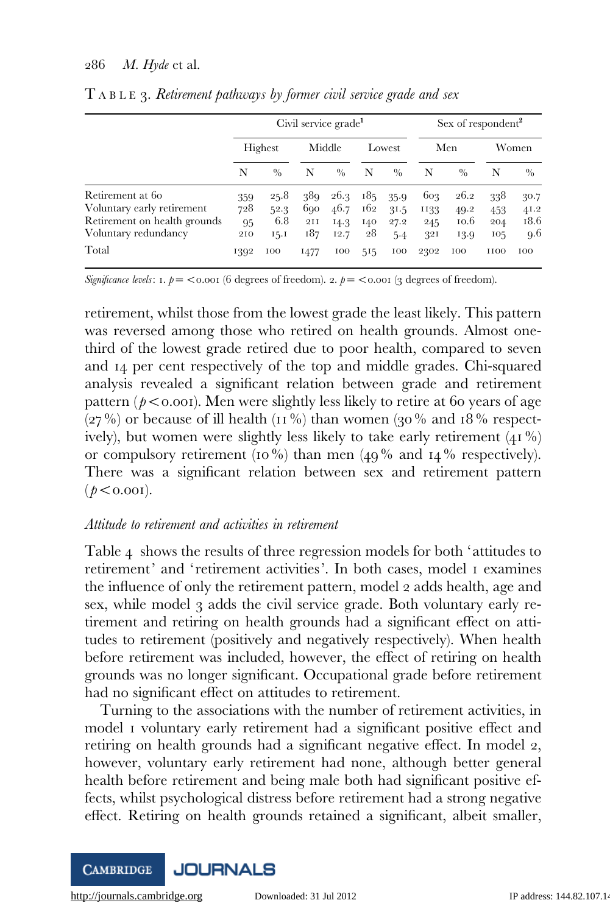|                              | Civil service grade <sup>1</sup> |      |        |      | Sex of respondent <sup>2</sup> |               |      |               |       |               |
|------------------------------|----------------------------------|------|--------|------|--------------------------------|---------------|------|---------------|-------|---------------|
|                              | Highest                          |      | Middle |      | Lowest                         |               | Men  |               | Women |               |
|                              | N                                | $\%$ | N      | $\%$ | N                              | $\frac{0}{0}$ | N    | $\frac{0}{0}$ | N     | $\frac{0}{0}$ |
| Retirement at 60             | 359                              | 25.8 | 389    | 26.3 | 185                            | 35.9          | 603  | 26.2          | 338   | 30.7          |
| Voluntary early retirement   | 728                              | 52.3 | 690    | 46.7 | 162                            | 31.5          | 1133 | 49.2          | 453   | 41.2          |
| Retirement on health grounds | 95                               | 6.8  | 211    | 14.3 | 140                            | 27.2          | 245  | 10.6          | 204   | 18.6          |
| Voluntary redundancy         | 210                              | 15.1 | 187    | 12.7 | 28                             | $5-4$         | 32I  | 13.9          | 105   | 9.6           |
| Total                        | 1392                             | 100  | 1477   | 100  | 515                            | 100           | 2302 | 100           | 1100  | 100           |

T ABLE 3. Retirement pathways by former civil service grade and sex

Significance levels: 1.  $p = \langle 0.001 \rangle$  (6 degrees of freedom). 2.  $p = \langle 0.001 \rangle$  (3 degrees of freedom).

retirement, whilst those from the lowest grade the least likely. This pattern was reversed among those who retired on health grounds. Almost onethird of the lowest grade retired due to poor health, compared to seven and 14 per cent respectively of the top and middle grades. Chi-squared analysis revealed a significant relation between grade and retirement pattern ( $p < 0.001$ ). Men were slightly less likely to retire at 60 years of age  $(27%)$  or because of ill health (11%) than women  $(30%$  and 18% respectively), but women were slightly less likely to take early retirement (41%) or compulsory retirement (10%) than men  $(49\%$  and  $14\%$  respectively). There was a significant relation between sex and retirement pattern  $(p < 0.001)$ .

# Attitude to retirement and activities in retirement

Table 4 shows the results of three regression models for both 'attitudes to retirement' and 'retirement activities'. In both cases, model 1 examines the influence of only the retirement pattern, model 2 adds health, age and sex, while model 3 adds the civil service grade. Both voluntary early retirement and retiring on health grounds had a significant effect on attitudes to retirement (positively and negatively respectively). When health before retirement was included, however, the effect of retiring on health grounds was no longer significant. Occupational grade before retirement had no significant effect on attitudes to retirement.

Turning to the associations with the number of retirement activities, in model 1 voluntary early retirement had a significant positive effect and retiring on health grounds had a significant negative effect. In model 2, however, voluntary early retirement had none, although better general health before retirement and being male both had significant positive effects, whilst psychological distress before retirement had a strong negative effect. Retiring on health grounds retained a significant, albeit smaller,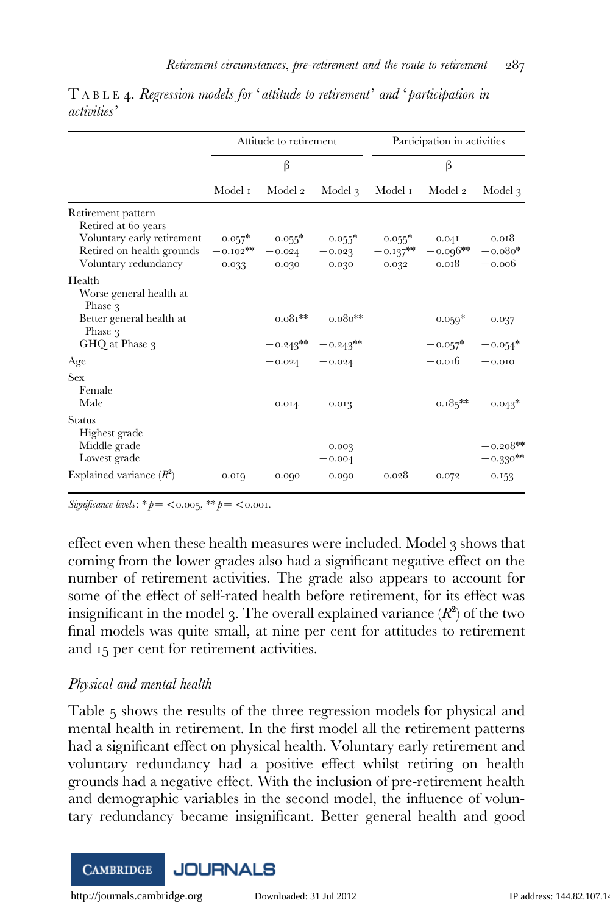|                                                                                                      |         | Attitude to retirement |                                                                                             | Participation in activities<br>β |                        |                          |  |
|------------------------------------------------------------------------------------------------------|---------|------------------------|---------------------------------------------------------------------------------------------|----------------------------------|------------------------|--------------------------|--|
|                                                                                                      |         | β                      |                                                                                             |                                  |                        |                          |  |
|                                                                                                      | Model 1 | Model 2                | Model 3                                                                                     |                                  | Model 1 Model 2        | Model 3                  |  |
| Retirement pattern<br>Retired at 60 years<br>Voluntary early retirement<br>Retired on health grounds |         |                        | $0.057^*$ $0.055^*$ $0.055^*$ $0.055^*$ $0.041$<br>$-0.102$ <sup>**</sup> $-0.024$ $-0.023$ |                                  | $-0.137***$ $-0.096**$ | 0.018<br>$-0.080*$       |  |
| Voluntary redundancy                                                                                 |         | 0.033 0.030            |                                                                                             | $0.030$ $0.032$                  | 0.018                  | $-0.006$                 |  |
| Health<br>Worse general health at<br>Phase 3<br>Better general health at                             |         |                        | $0.081***$ $0.080**$                                                                        |                                  |                        | $0.059^*$ 0.037          |  |
| Phase 3<br>GHQ at Phase 3                                                                            |         |                        | $-0.243***$ $-0.243**$                                                                      |                                  | $-0.057^*$ $-0.054^*$  |                          |  |
| Age                                                                                                  |         | $-0.024 - 0.024$       |                                                                                             |                                  | $-0.016$               | $-0.010$                 |  |
| <b>Sex</b><br>Female<br>Male                                                                         |         | 0.014                  | 0.013                                                                                       |                                  | $0.185***$             | $0.043*$                 |  |
| <b>Status</b><br>Highest grade<br>Middle grade<br>Lowest grade                                       |         |                        | 0.003<br>$-0.004$                                                                           |                                  |                        | $-0.208**$<br>$-0.330**$ |  |
| Explained variance $(R^2)$                                                                           | 0.019   | 0.090                  | 0.090                                                                                       | 0.028                            | 0.072                  | 0.153                    |  |

T ABLE 4. Regression models for 'attitude to retirement' and 'participation in activities'

Significance levels: \*  $p = \langle 0.005, ** p = \langle 0.001,$ 

effect even when these health measures were included. Model 3 shows that coming from the lower grades also had a significant negative effect on the number of retirement activities. The grade also appears to account for some of the effect of self-rated health before retirement, for its effect was insignificant in the model 3. The overall explained variance  $(R^2)$  of the two final models was quite small, at nine per cent for attitudes to retirement and 15 per cent for retirement activities.

# Physical and mental health

Table 5 shows the results of the three regression models for physical and mental health in retirement. In the first model all the retirement patterns had a significant effect on physical health. Voluntary early retirement and voluntary redundancy had a positive effect whilst retiring on health grounds had a negative effect. With the inclusion of pre-retirement health and demographic variables in the second model, the influence of voluntary redundancy became insignificant. Better general health and good

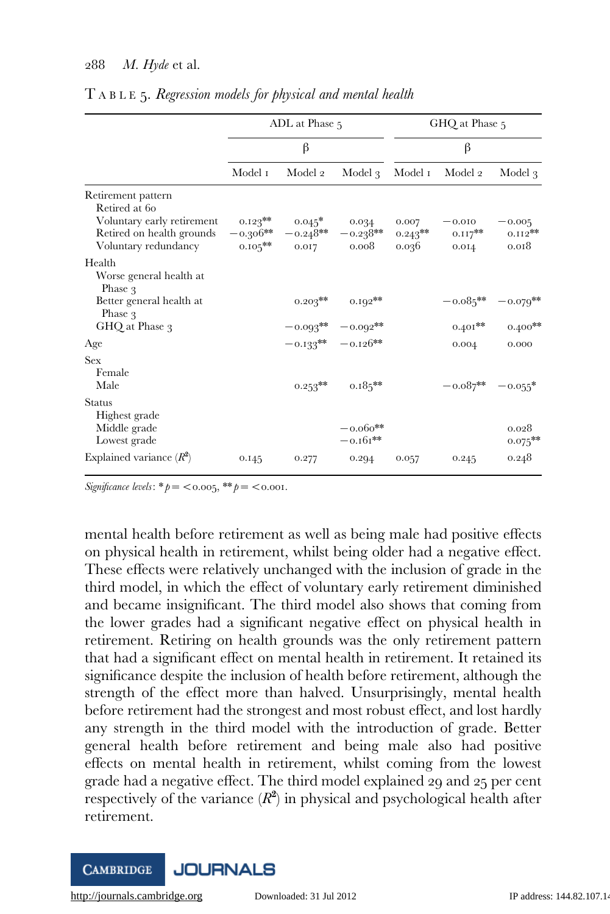#### 288  $M.$  Hyde et al.

|                                                                                                                                                        |         | ADL at Phase 5                                                                     |                                             | GHQ at Phase 5<br>$\beta$ |                                                                  |                         |  |
|--------------------------------------------------------------------------------------------------------------------------------------------------------|---------|------------------------------------------------------------------------------------|---------------------------------------------|---------------------------|------------------------------------------------------------------|-------------------------|--|
|                                                                                                                                                        |         | β                                                                                  |                                             |                           |                                                                  |                         |  |
|                                                                                                                                                        | Model 1 | Model 2                                                                            |                                             |                           | Model 3 Model 1 Model 2                                          | Model 3                 |  |
| Retirement pattern<br>Retired at 60<br>Voluntary early retirement<br>Retired on health grounds<br>Voluntary redundancy o.105 <sup>**</sup> 0.017 0.008 |         | $0.123$ <sup>**</sup> $0.045$ <sup>*</sup> $0.034$<br>$-0.306** -0.248** -0.238**$ |                                             | 0.007                     | $-0.010$<br>$0.243^{**}$ $0.117^{**}$<br>$0.036$ $0.014$ $0.018$ | $-0.005$<br>$0.112**$   |  |
| Health<br>Worse general health at<br>Phase 3<br>Better general health at<br>Phase 3                                                                    |         |                                                                                    | $0.203$ <sup>**</sup> $0.192$ <sup>**</sup> |                           |                                                                  | $-0.085***$ $-0.079***$ |  |
| GHQ at Phase 3                                                                                                                                         |         |                                                                                    | $-0.093***$ $-0.092***$                     |                           | $0.401$ **                                                       | $0.400$ **              |  |
| Age                                                                                                                                                    |         | $-0.133^{**}$ $-0.126^{**}$                                                        |                                             |                           | 0.004                                                            | 0.000                   |  |
| <b>Sex</b><br>Female<br>Male                                                                                                                           |         |                                                                                    | $0.253***$ $0.185***$                       |                           | $-0.087***$ $-0.055*$                                            |                         |  |
| <b>Status</b><br>Highest grade<br>Middle grade<br>Lowest grade                                                                                         |         |                                                                                    | $-0.060**$<br>$-0.161**$                    |                           |                                                                  | 0.028<br>$0.075***$     |  |
| Explained variance $(R^2)$                                                                                                                             | 0.145   | 0.277                                                                              | 0.294                                       | 0.057                     | 0.245                                                            | 0.248                   |  |

### T ABLE 5. Regression models for physical and mental health

Significance levels: \*  $p = \langle 0.005, \cdot \cdot \cdot \rangle p = \langle 0.001, \cdot \cdot \rangle p = \langle 0.001, \cdot \cdot \rangle p = \langle 0.001, \cdot \cdot \rangle p = \langle 0.001, \cdot \cdot \rangle p = \langle 0.001, \cdot \cdot \rangle p = \langle 0.001, \cdot \cdot \rangle p = \langle 0.001, \cdot \cdot \rangle p = \langle 0.001, \cdot \cdot \rangle p = \langle 0.001, \cdot \cdot \rangle p = \langle 0.001, \cdot \cdot \rangle p = \langle 0.0$ 

mental health before retirement as well as being male had positive effects on physical health in retirement, whilst being older had a negative effect. These effects were relatively unchanged with the inclusion of grade in the third model, in which the effect of voluntary early retirement diminished and became insignificant. The third model also shows that coming from the lower grades had a significant negative effect on physical health in retirement. Retiring on health grounds was the only retirement pattern that had a significant effect on mental health in retirement. It retained its significance despite the inclusion of health before retirement, although the strength of the effect more than halved. Unsurprisingly, mental health before retirement had the strongest and most robust effect, and lost hardly any strength in the third model with the introduction of grade. Better general health before retirement and being male also had positive effects on mental health in retirement, whilst coming from the lowest grade had a negative effect. The third model explained 29 and 25 per cent respectively of the variance  $(R^2)$  in physical and psychological health after retirement.

**JOURNALS CAMBRIDGE**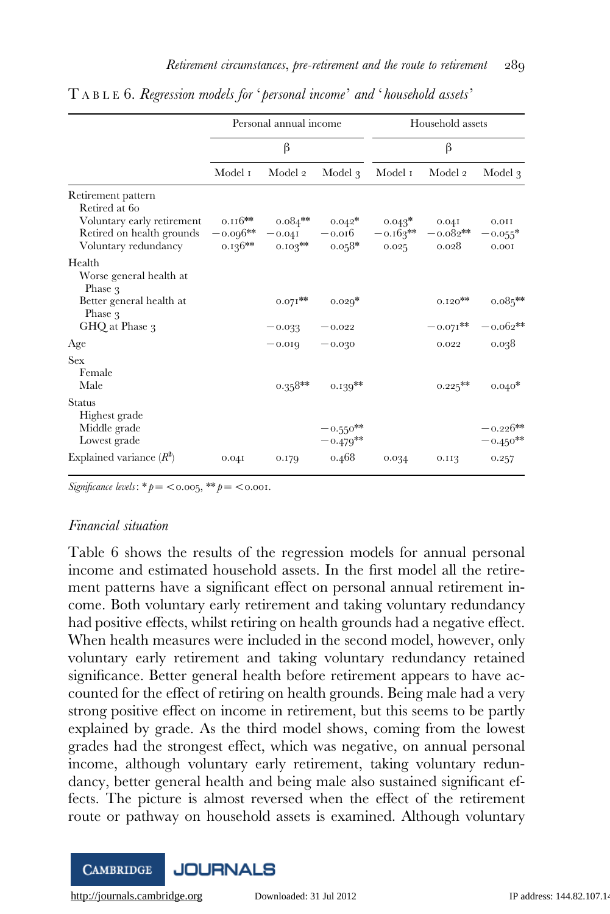|                                                                                                                        |         | Personal annual income                                                                                           |                            | Household assets<br>β |                                  |                             |  |
|------------------------------------------------------------------------------------------------------------------------|---------|------------------------------------------------------------------------------------------------------------------|----------------------------|-----------------------|----------------------------------|-----------------------------|--|
|                                                                                                                        |         | β                                                                                                                |                            |                       |                                  |                             |  |
|                                                                                                                        | Model 1 | Model 2                                                                                                          | Model 3                    |                       | Model 1 Model 2                  | Model 3                     |  |
| Retirement pattern<br>Retired at 60<br>Voluntary early retirement<br>Retired on health grounds<br>Voluntary redundancy |         | $0.116***$ $0.084***$ $0.042*$ $0.043*$ $0.041$<br>$-0.096***$ $-0.041$ $-0.016$<br>$0.136**$ $0.103**$ $0.058*$ |                            | 0.025                 | $-0.163***$ $-0.082***$<br>0.028 | 0.011<br>$-0.055*$<br>0.001 |  |
| Health<br>Worse general health at<br>Phase 3<br>Better general health at                                               |         |                                                                                                                  | $0.071$ ** $0.020$ *       |                       | $0.120***$                       | $0.085***$                  |  |
| Phase 3<br>GHQ at Phase 3                                                                                              |         | $-0.033$                                                                                                         | $-0.022$                   |                       | $-0.071$ **                      | $-0.062**$                  |  |
| Age                                                                                                                    |         | $-0.019$                                                                                                         | $-0.030$                   |                       | 0.022                            | 0.038                       |  |
| <b>Sex</b><br>Female<br>Male                                                                                           |         | $0.358**$                                                                                                        | $0.139**$                  |                       | $0.225***$                       | $0.040*$                    |  |
| <b>Status</b><br>Highest grade<br>Middle grade<br>Lowest grade                                                         |         |                                                                                                                  | $-0.550***$<br>$-0.479***$ |                       |                                  | $-0.226**$<br>$-0.450***$   |  |
| Explained variance $(R^2)$                                                                                             | 0.04I   | 0.179                                                                                                            | 0.468                      | 0.034                 | 0.113                            | 0.257                       |  |

T ABLE 6. Regression models for 'personal income' and 'household assets'

Significance levels: \*  $p = \langle 0.005, ** p = \langle 0.001,$ 

#### Financial situation

Table 6 shows the results of the regression models for annual personal income and estimated household assets. In the first model all the retirement patterns have a significant effect on personal annual retirement income. Both voluntary early retirement and taking voluntary redundancy had positive effects, whilst retiring on health grounds had a negative effect. When health measures were included in the second model, however, only voluntary early retirement and taking voluntary redundancy retained significance. Better general health before retirement appears to have accounted for the effect of retiring on health grounds. Being male had a very strong positive effect on income in retirement, but this seems to be partly explained by grade. As the third model shows, coming from the lowest grades had the strongest effect, which was negative, on annual personal income, although voluntary early retirement, taking voluntary redundancy, better general health and being male also sustained significant effects. The picture is almost reversed when the effect of the retirement route or pathway on household assets is examined. Although voluntary

#### **JOURNALS CAMBRIDGE**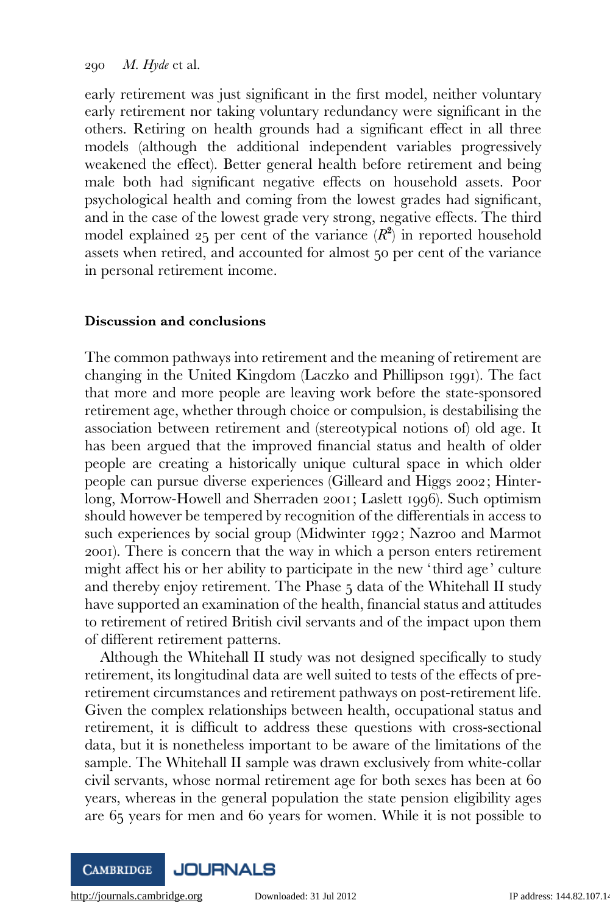early retirement was just significant in the first model, neither voluntary early retirement nor taking voluntary redundancy were significant in the others. Retiring on health grounds had a significant effect in all three models (although the additional independent variables progressively weakened the effect). Better general health before retirement and being male both had significant negative effects on household assets. Poor psychological health and coming from the lowest grades had significant, and in the case of the lowest grade very strong, negative effects. The third model explained 25 per cent of the variance  $(R^2)$  in reported household assets when retired, and accounted for almost 50 per cent of the variance in personal retirement income.

# Discussion and conclusions

The common pathways into retirement and the meaning of retirement are changing in the United Kingdom (Laczko and Phillipson 1991). The fact that more and more people are leaving work before the state-sponsored retirement age, whether through choice or compulsion, is destabilising the association between retirement and (stereotypical notions of) old age. It has been argued that the improved financial status and health of older people are creating a historically unique cultural space in which older people can pursue diverse experiences (Gilleard and Higgs 2002; Hinterlong, Morrow-Howell and Sherraden 2001; Laslett 1996). Such optimism should however be tempered by recognition of the differentials in access to such experiences by social group (Midwinter 1992; Nazroo and Marmot 2001). There is concern that the way in which a person enters retirement might affect his or her ability to participate in the new 'third age' culture and thereby enjoy retirement. The Phase 5 data of the Whitehall II study have supported an examination of the health, financial status and attitudes to retirement of retired British civil servants and of the impact upon them of different retirement patterns.

Although the Whitehall II study was not designed specifically to study retirement, its longitudinal data are well suited to tests of the effects of preretirement circumstances and retirement pathways on post-retirement life. Given the complex relationships between health, occupational status and retirement, it is difficult to address these questions with cross-sectional data, but it is nonetheless important to be aware of the limitations of the sample. The Whitehall II sample was drawn exclusively from white-collar civil servants, whose normal retirement age for both sexes has been at 60 years, whereas in the general population the state pension eligibility ages are 65 years for men and 60 years for women. While it is not possible to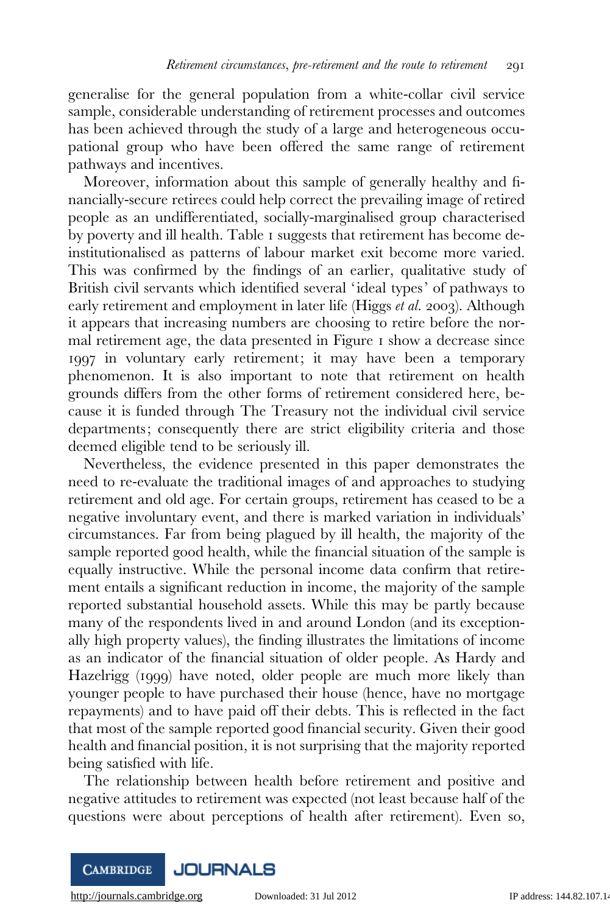generalise for the general population from a white-collar civil service sample, considerable understanding of retirement processes and outcomes has been achieved through the study of a large and heterogeneous occupational group who have been offered the same range of retirement pathways and incentives.

Moreover, information about this sample of generally healthy and financially-secure retirees could help correct the prevailing image of retired people as an undifferentiated, socially-marginalised group characterised by poverty and ill health. Table 1 suggests that retirement has become deinstitutionalised as patterns of labour market exit become more varied. This was confirmed by the findings of an earlier, qualitative study of British civil servants which identified several 'ideal types' of pathways to early retirement and employment in later life (Higgs et al. 2003). Although it appears that increasing numbers are choosing to retire before the normal retirement age, the data presented in Figure 1 show a decrease since 1997 in voluntary early retirement; it may have been a temporary phenomenon. It is also important to note that retirement on health grounds differs from the other forms of retirement considered here, because it is funded through The Treasury not the individual civil service departments; consequently there are strict eligibility criteria and those deemed eligible tend to be seriously ill.

Nevertheless, the evidence presented in this paper demonstrates the need to re-evaluate the traditional images of and approaches to studying retirement and old age. For certain groups, retirement has ceased to be a negative involuntary event, and there is marked variation in individuals' circumstances. Far from being plagued by ill health, the majority of the sample reported good health, while the financial situation of the sample is equally instructive. While the personal income data confirm that retirement entails a significant reduction in income, the majority of the sample reported substantial household assets. While this may be partly because many of the respondents lived in and around London (and its exceptionally high property values), the finding illustrates the limitations of income as an indicator of the financial situation of older people. As Hardy and Hazelrigg (1999) have noted, older people are much more likely than younger people to have purchased their house (hence, have no mortgage repayments) and to have paid off their debts. This is reflected in the fact that most of the sample reported good financial security. Given their good health and financial position, it is not surprising that the majority reported being satisfied with life.

The relationship between health before retirement and positive and negative attitudes to retirement was expected (not least because half of the questions were about perceptions of health after retirement). Even so,

<http://journals.cambridge.org> Downloaded: 31 Jul 2012 IP address: 144.82.107.14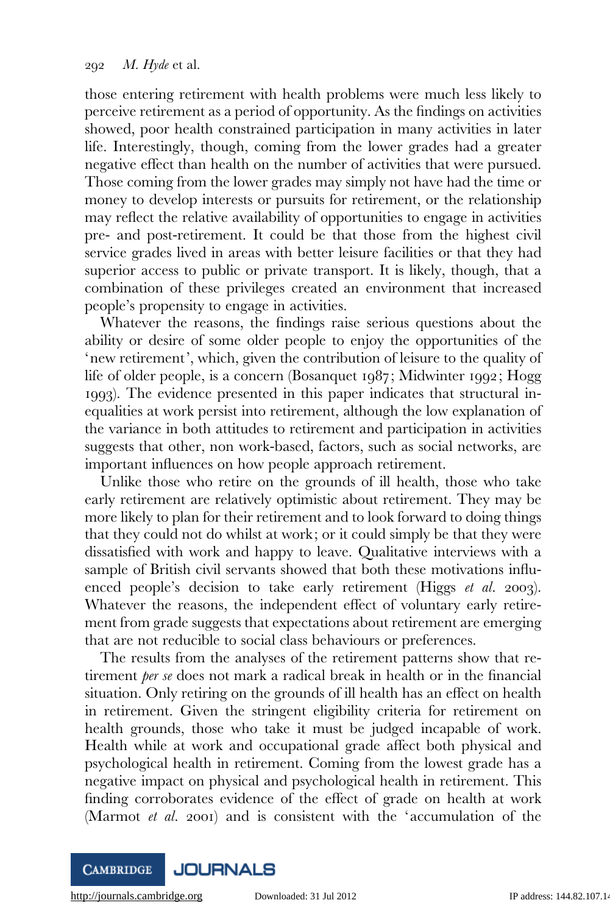those entering retirement with health problems were much less likely to perceive retirement as a period of opportunity. As the findings on activities showed, poor health constrained participation in many activities in later life. Interestingly, though, coming from the lower grades had a greater negative effect than health on the number of activities that were pursued. Those coming from the lower grades may simply not have had the time or money to develop interests or pursuits for retirement, or the relationship may reflect the relative availability of opportunities to engage in activities pre- and post-retirement. It could be that those from the highest civil service grades lived in areas with better leisure facilities or that they had superior access to public or private transport. It is likely, though, that a combination of these privileges created an environment that increased people's propensity to engage in activities.

Whatever the reasons, the findings raise serious questions about the ability or desire of some older people to enjoy the opportunities of the 'new retirement', which, given the contribution of leisure to the quality of life of older people, is a concern (Bosanquet 1987; Midwinter 1992; Hogg 1993). The evidence presented in this paper indicates that structural inequalities at work persist into retirement, although the low explanation of the variance in both attitudes to retirement and participation in activities suggests that other, non work-based, factors, such as social networks, are important influences on how people approach retirement.

Unlike those who retire on the grounds of ill health, those who take early retirement are relatively optimistic about retirement. They may be more likely to plan for their retirement and to look forward to doing things that they could not do whilst at work; or it could simply be that they were dissatisfied with work and happy to leave. Qualitative interviews with a sample of British civil servants showed that both these motivations influenced people's decision to take early retirement (Higgs et al. 2003). Whatever the reasons, the independent effect of voluntary early retirement from grade suggests that expectations about retirement are emerging that are not reducible to social class behaviours or preferences.

The results from the analyses of the retirement patterns show that retirement per se does not mark a radical break in health or in the financial situation. Only retiring on the grounds of ill health has an effect on health in retirement. Given the stringent eligibility criteria for retirement on health grounds, those who take it must be judged incapable of work. Health while at work and occupational grade affect both physical and psychological health in retirement. Coming from the lowest grade has a negative impact on physical and psychological health in retirement. This finding corroborates evidence of the effect of grade on health at work (Marmot *et al.* 2001) and is consistent with the 'accumulation of the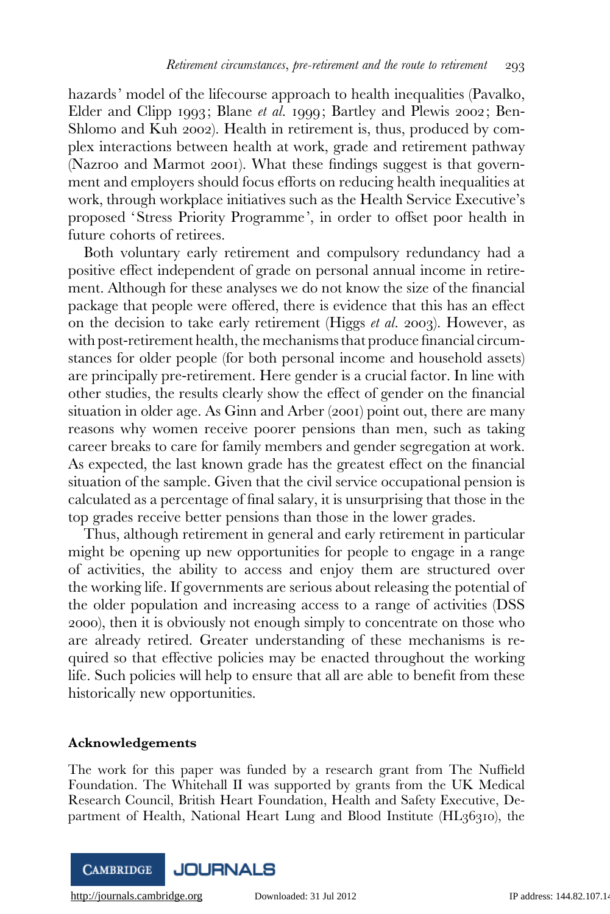hazards' model of the lifecourse approach to health inequalities (Pavalko, Elder and Clipp 1993; Blane et al. 1999; Bartley and Plewis 2002; Ben-Shlomo and Kuh 2002). Health in retirement is, thus, produced by complex interactions between health at work, grade and retirement pathway (Nazroo and Marmot 2001). What these findings suggest is that government and employers should focus efforts on reducing health inequalities at work, through workplace initiatives such as the Health Service Executive's proposed 'Stress Priority Programme', in order to offset poor health in future cohorts of retirees.

Both voluntary early retirement and compulsory redundancy had a positive effect independent of grade on personal annual income in retirement. Although for these analyses we do not know the size of the financial package that people were offered, there is evidence that this has an effect on the decision to take early retirement (Higgs et al. 2003). However, as with post-retirement health, the mechanisms that produce financial circumstances for older people (for both personal income and household assets) are principally pre-retirement. Here gender is a crucial factor. In line with other studies, the results clearly show the effect of gender on the financial situation in older age. As Ginn and Arber (2001) point out, there are many reasons why women receive poorer pensions than men, such as taking career breaks to care for family members and gender segregation at work. As expected, the last known grade has the greatest effect on the financial situation of the sample. Given that the civil service occupational pension is calculated as a percentage of final salary, it is unsurprising that those in the top grades receive better pensions than those in the lower grades.

Thus, although retirement in general and early retirement in particular might be opening up new opportunities for people to engage in a range of activities, the ability to access and enjoy them are structured over the working life. If governments are serious about releasing the potential of the older population and increasing access to a range of activities (DSS 2000), then it is obviously not enough simply to concentrate on those who are already retired. Greater understanding of these mechanisms is required so that effective policies may be enacted throughout the working life. Such policies will help to ensure that all are able to benefit from these historically new opportunities.

#### Acknowledgements

The work for this paper was funded by a research grant from The Nuffield Foundation. The Whitehall II was supported by grants from the UK Medical Research Council, British Heart Foundation, Health and Safety Executive, Department of Health, National Heart Lung and Blood Institute (HL36310), the



<http://journals.cambridge.org> Downloaded: 31 Jul 2012 IP address: 144.82.107.14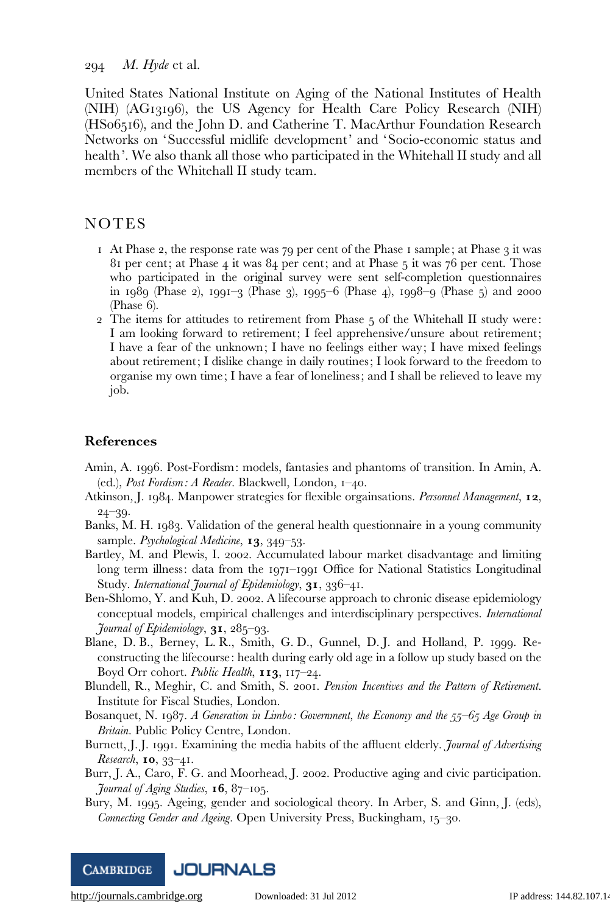#### 294  $M.$  Hyde et al.

United States National Institute on Aging of the National Institutes of Health (NIH) (AG13196), the US Agency for Health Care Policy Research (NIH) (HS06516), and the John D. and Catherine T. MacArthur Foundation Research Networks on 'Successful midlife development' and 'Socio-economic status and health'. We also thank all those who participated in the Whitehall II study and all members of the Whitehall II study team.

### NOTES

- 1 At Phase 2, the response rate was 79 per cent of the Phase 1 sample; at Phase 3 it was 81 per cent; at Phase  $4$  it was 84 per cent; and at Phase  $5$  it was  $76$  per cent. Those who participated in the original survey were sent self-completion questionnaires in 1989 (Phase 2), 1991–3 (Phase 3), 1995–6 (Phase 4), 1998–9 (Phase 5) and 2000 (Phase 6).
- 2 The items for attitudes to retirement from Phase 5 of the Whitehall II study were: I am looking forward to retirement; I feel apprehensive/unsure about retirement; I have a fear of the unknown; I have no feelings either way; I have mixed feelings about retirement; I dislike change in daily routines; I look forward to the freedom to organise my own time; I have a fear of loneliness; and I shall be relieved to leave my job.

#### References

- Amin, A. 1996. Post-Fordism: models, fantasies and phantoms of transition. In Amin, A. (ed.), Post Fordism: A Reader. Blackwell, London, 1–40.
- Atkinson, J. 1984. Manpower strategies for flexible orgainsations. Personnel Management, 12, 24–39.
- Banks, M. H. 1983. Validation of the general health questionnaire in a young community sample. Psychological Medicine, 13, 349–53.
- Bartley, M. and Plewis, I. 2002. Accumulated labour market disadvantage and limiting long term illness: data from the 1971–1991 Office for National Statistics Longitudinal Study. International Journal of Epidemiology,  $31, 336 - 41$ .
- Ben-Shlomo, Y. and Kuh, D. 2002. A lifecourse approach to chronic disease epidemiology conceptual models, empirical challenges and interdisciplinary perspectives. International Journal of Epidemiology, 31, 285–93.
- Blane, D. B., Berney, L. R., Smith, G. D., Gunnel, D. J. and Holland, P. 1999. Reconstructing the lifecourse: health during early old age in a follow up study based on the Boyd Orr cohort. Public Health,  $113$ ,  $117-24$ .
- Blundell, R., Meghir, C. and Smith, S. 2001. Pension Incentives and the Pattern of Retirement. Institute for Fiscal Studies, London.
- Bosanquet, N. 1987. A Generation in Limbo: Government, the Economy and the 55-65 Age Group in Britain. Public Policy Centre, London.
- Burnett, J. J. 1991. Examining the media habits of the affluent elderly. *Journal of Advertising* Research,  $10, 33-41$ .
- Burr, J. A., Caro, F. G. and Moorhead, J. 2002. Productive aging and civic participation. Journal of Aging Studies,  $16, 87-105$ .
- Bury, M. 1995. Ageing, gender and sociological theory. In Arber, S. and Ginn, J. (eds), Connecting Gender and Ageing. Open University Press, Buckingham, 15–30.

**JOURNALS CAMBRIDGE**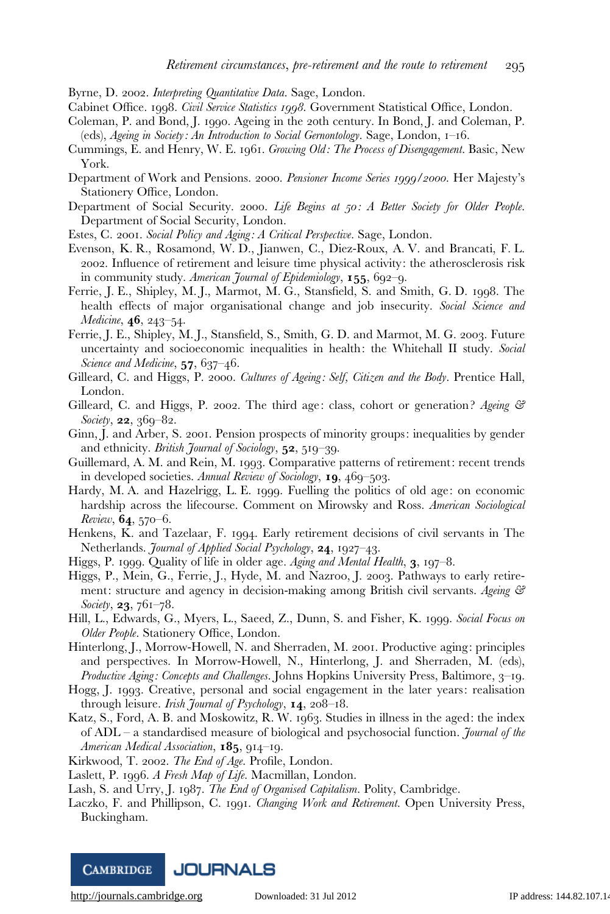Byrne, D. 2002. Interpreting Quantitative Data. Sage, London.

- Cabinet Office. 1998. Civil Service Statistics 1998. Government Statistical Office, London.
- Coleman, P. and Bond, J. 1990. Ageing in the 20th century. In Bond, J. and Coleman, P. (eds), Ageing in Society: An Introduction to Social Gernontology. Sage, London, 1–16.
- Cummings, E. and Henry, W. E. 1961. Growing Old: The Process of Disengagement. Basic, New York.
- Department of Work and Pensions. 2000. Pensioner Income Series 1999/2000. Her Majesty's Stationery Office, London.
- Department of Social Security. 2000. Life Begins at 50: A Better Society for Older People. Department of Social Security, London.
- Estes, C. 2001. Social Policy and Aging: A Critical Perspective. Sage, London.
- Evenson, K. R., Rosamond, W. D., Jianwen, C., Diez-Roux, A. V. and Brancati, F. L. 2002. Influence of retirement and leisure time physical activity: the atherosclerosis risk in community study. American Journal of Epidemiology, 155, 692-9.
- Ferrie, J. E., Shipley, M. J., Marmot, M. G., Stansfield, S. and Smith, G. D. 1998. The health effects of major organisational change and job insecurity. Social Science and Medicine, 46, 243–54.
- Ferrie, J. E., Shipley, M. J., Stansfield, S., Smith, G. D. and Marmot, M. G. 2003. Future uncertainty and socioeconomic inequalities in health: the Whitehall II study. Social Science and Medicine,  $57, 637-46$ .
- Gilleard, C. and Higgs, P. 2000. Cultures of Ageing: Self, Citizen and the Body. Prentice Hall, London.
- Gilleard, C. and Higgs, P. 2002. The third age: class, cohort or generation? Ageing  $\mathcal{C}$ Society, **22**, 369–82.
- Ginn, J. and Arber, S. 2001. Pension prospects of minority groups: inequalities by gender and ethnicity. *British Journal of Sociology*, 52, 519–39.
- Guillemard, A. M. and Rein, M. 1993. Comparative patterns of retirement: recent trends in developed societies. Annual Review of Sociology, 19, 460–503.
- Hardy, M. A. and Hazelrigg, L. E. 1999. Fuelling the politics of old age: on economic hardship across the lifecourse. Comment on Mirowsky and Ross. American Sociological Review, 64, 570–6.
- Henkens, K. and Tazelaar, F. 1994. Early retirement decisions of civil servants in The Netherlands. Journal of Applied Social Psychology, 24, 1927–43.
- Higgs, P. 1999. Quality of life in older age. Aging and Mental Health, 3, 197–8.
- Higgs, P., Mein, G., Ferrie, J., Hyde, M. and Nazroo, J. 2003. Pathways to early retirement: structure and agency in decision-making among British civil servants. Ageing  $\mathcal{C}$ Society, **23**,  $761 - 78$ .
- Hill, L., Edwards, G., Myers, L., Saeed, Z., Dunn, S. and Fisher, K. 1999. Social Focus on Older People. Stationery Office, London.
- Hinterlong, J., Morrow-Howell, N. and Sherraden, M. 2001. Productive aging: principles and perspectives. In Morrow-Howell, N., Hinterlong, J. and Sherraden, M. (eds), Productive Aging: Concepts and Challenges. Johns Hopkins University Press, Baltimore, 3–19.
- Hogg, J. 1993. Creative, personal and social engagement in the later years: realisation through leisure. *Insh Journal of Psychology*, 14, 208–18.
- Katz, S., Ford, A. B. and Moskowitz, R. W. 1963. Studies in illness in the aged: the index of ADL – a standardised measure of biological and psychosocial function. *Journal of the* American Medical Association,  $185, 914-19$ .
- Kirkwood, T. 2002. The End of Age. Profile, London.
- Laslett, P. 1996. A Fresh Map of Life. Macmillan, London.

Lash, S. and Urry, J. 1987. The End of Organised Capitalism. Polity, Cambridge.

Laczko, F. and Phillipson, C. 1991. Changing Work and Retirement. Open University Press, Buckingham.